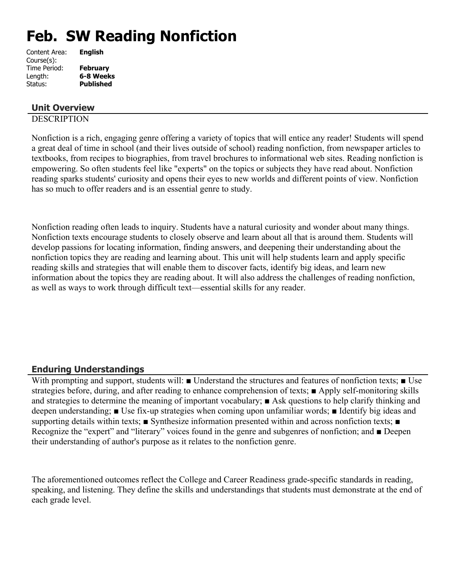# **Feb. SW Reading Nonfiction**

| <b>English</b>   |
|------------------|
|                  |
| <b>February</b>  |
| 6-8 Weeks        |
| <b>Published</b> |
|                  |

## **Unit Overview**

## **DESCRIPTION**

Nonfiction is a rich, engaging genre offering a variety of topics that will entice any reader! Students will spend a great deal of time in school (and their lives outside of school) reading nonfiction, from newspaper articles to textbooks, from recipes to biographies, from travel brochures to informational web sites. Reading nonfiction is empowering. So often students feel like "experts" on the topics or subjects they have read about. Nonfiction reading sparks students' curiosity and opens their eyes to new worlds and different points of view. Nonfiction has so much to offer readers and is an essential genre to study.

Nonfiction reading often leads to inquiry. Students have a natural curiosity and wonder about many things. Nonfiction texts encourage students to closely observe and learn about all that is around them. Students will develop passions for locating information, finding answers, and deepening their understanding about the nonfiction topics they are reading and learning about. This unit will help students learn and apply specific reading skills and strategies that will enable them to discover facts, identify big ideas, and learn new information about the topics they are reading about. It will also address the challenges of reading nonfiction, as well as ways to work through difficult text—essential skills for any reader.

## **Enduring Understandings**

With prompting and support, students will: ■ Understand the structures and features of nonfiction texts; ■ Use strategies before, during, and after reading to enhance comprehension of texts; ■ Apply self-monitoring skills and strategies to determine the meaning of important vocabulary; ■ Ask questions to help clarify thinking and deepen understanding; ■ Use fix-up strategies when coming upon unfamiliar words; ■ Identify big ideas and supporting details within texts; ■ Synthesize information presented within and across nonfiction texts; ■ Recognize the "expert" and "literary" voices found in the genre and subgenres of nonfiction; and ■ Deepen their understanding of author's purpose as it relates to the nonfiction genre.

The aforementioned outcomes reflect the College and Career Readiness grade-specific standards in reading, speaking, and listening. They define the skills and understandings that students must demonstrate at the end of each grade level.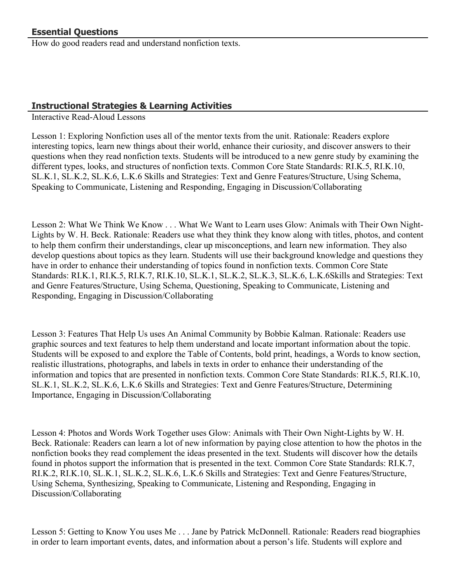How do good readers read and understand nonfiction texts.

# **Instructional Strategies & Learning Activities**

Interactive Read-Aloud Lessons

Lesson 1: Exploring Nonfiction uses all of the mentor texts from the unit. Rationale: Readers explore interesting topics, learn new things about their world, enhance their curiosity, and discover answers to their questions when they read nonfiction texts. Students will be introduced to a new genre study by examining the different types, looks, and structures of nonfiction texts. Common Core State Standards: RI.K.5, RI.K.10, SL.K.1, SL.K.2, SL.K.6, L.K.6 Skills and Strategies: Text and Genre Features/Structure, Using Schema, Speaking to Communicate, Listening and Responding, Engaging in Discussion/Collaborating

Lesson 2: What We Think We Know . . . What We Want to Learn uses Glow: Animals with Their Own Night-Lights by W. H. Beck. Rationale: Readers use what they think they know along with titles, photos, and content to help them confirm their understandings, clear up misconceptions, and learn new information. They also develop questions about topics as they learn. Students will use their background knowledge and questions they have in order to enhance their understanding of topics found in nonfiction texts. Common Core State Standards: RI.K.1, RI.K.5, RI.K.7, RI.K.10, SL.K.1, SL.K.2, SL.K.3, SL.K.6, L.K.6Skills and Strategies: Text and Genre Features/Structure, Using Schema, Questioning, Speaking to Communicate, Listening and Responding, Engaging in Discussion/Collaborating

Lesson 3: Features That Help Us uses An Animal Community by Bobbie Kalman. Rationale: Readers use graphic sources and text features to help them understand and locate important information about the topic. Students will be exposed to and explore the Table of Contents, bold print, headings, a Words to know section, realistic illustrations, photographs, and labels in texts in order to enhance their understanding of the information and topics that are presented in nonfiction texts. Common Core State Standards: RI.K.5, RI.K.10, SL.K.1, SL.K.2, SL.K.6, L.K.6 Skills and Strategies: Text and Genre Features/Structure, Determining Importance, Engaging in Discussion/Collaborating

Lesson 4: Photos and Words Work Together uses Glow: Animals with Their Own Night-Lights by W. H. Beck. Rationale: Readers can learn a lot of new information by paying close attention to how the photos in the nonfiction books they read complement the ideas presented in the text. Students will discover how the details found in photos support the information that is presented in the text. Common Core State Standards: RI.K.7, RI.K.2, RI.K.10, SL.K.1, SL.K.2, SL.K.6, L.K.6 Skills and Strategies: Text and Genre Features/Structure, Using Schema, Synthesizing, Speaking to Communicate, Listening and Responding, Engaging in Discussion/Collaborating

Lesson 5: Getting to Know You uses Me . . . Jane by Patrick McDonnell. Rationale: Readers read biographies in order to learn important events, dates, and information about a person's life. Students will explore and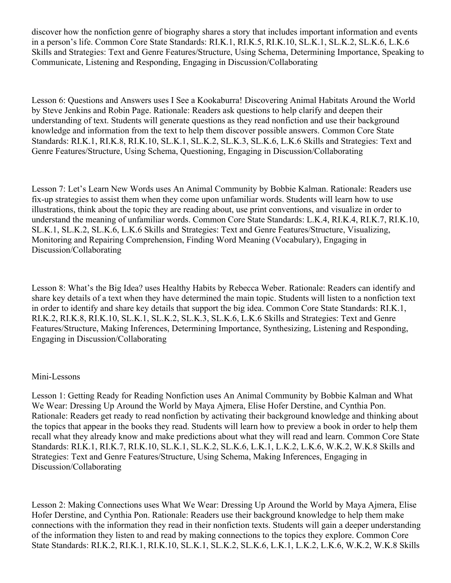discover how the nonfiction genre of biography shares a story that includes important information and events in a person's life. Common Core State Standards: RI.K.1, RI.K.5, RI.K.10, SL.K.1, SL.K.2, SL.K.6, L.K.6 Skills and Strategies: Text and Genre Features/Structure, Using Schema, Determining Importance, Speaking to Communicate, Listening and Responding, Engaging in Discussion/Collaborating

Lesson 6: Questions and Answers uses I See a Kookaburra! Discovering Animal Habitats Around the World by Steve Jenkins and Robin Page. Rationale: Readers ask questions to help clarify and deepen their understanding of text. Students will generate questions as they read nonfiction and use their background knowledge and information from the text to help them discover possible answers. Common Core State Standards: RI.K.1, RI.K.8, RI.K.10, SL.K.1, SL.K.2, SL.K.3, SL.K.6, L.K.6 Skills and Strategies: Text and Genre Features/Structure, Using Schema, Questioning, Engaging in Discussion/Collaborating

Lesson 7: Let's Learn New Words uses An Animal Community by Bobbie Kalman. Rationale: Readers use fix-up strategies to assist them when they come upon unfamiliar words. Students will learn how to use illustrations, think about the topic they are reading about, use print conventions, and visualize in order to understand the meaning of unfamiliar words. Common Core State Standards: L.K.4, RI.K.4, RI.K.7, RI.K.10, SL.K.1, SL.K.2, SL.K.6, L.K.6 Skills and Strategies: Text and Genre Features/Structure, Visualizing, Monitoring and Repairing Comprehension, Finding Word Meaning (Vocabulary), Engaging in Discussion/Collaborating

Lesson 8: What's the Big Idea? uses Healthy Habits by Rebecca Weber. Rationale: Readers can identify and share key details of a text when they have determined the main topic. Students will listen to a nonfiction text in order to identify and share key details that support the big idea. Common Core State Standards: RI.K.1, RI.K.2, RI.K.8, RI.K.10, SL.K.1, SL.K.2, SL.K.3, SL.K.6, L.K.6 Skills and Strategies: Text and Genre Features/Structure, Making Inferences, Determining Importance, Synthesizing, Listening and Responding, Engaging in Discussion/Collaborating

#### Mini-Lessons

Lesson 1: Getting Ready for Reading Nonfiction uses An Animal Community by Bobbie Kalman and What We Wear: Dressing Up Around the World by Maya Ajmera, Elise Hofer Derstine, and Cynthia Pon. Rationale: Readers get ready to read nonfiction by activating their background knowledge and thinking about the topics that appear in the books they read. Students will learn how to preview a book in order to help them recall what they already know and make predictions about what they will read and learn. Common Core State Standards: RI.K.1, RI.K.7, RI.K.10, SL.K.1, SL.K.2, SL.K.6, L.K.1, L.K.2, L.K.6, W.K.2, W.K.8 Skills and Strategies: Text and Genre Features/Structure, Using Schema, Making Inferences, Engaging in Discussion/Collaborating

Lesson 2: Making Connections uses What We Wear: Dressing Up Around the World by Maya Ajmera, Elise Hofer Derstine, and Cynthia Pon. Rationale: Readers use their background knowledge to help them make connections with the information they read in their nonfiction texts. Students will gain a deeper understanding of the information they listen to and read by making connections to the topics they explore. Common Core State Standards: RI.K.2, RI.K.1, RI.K.10, SL.K.1, SL.K.2, SL.K.6, L.K.1, L.K.2, L.K.6, W.K.2, W.K.8 Skills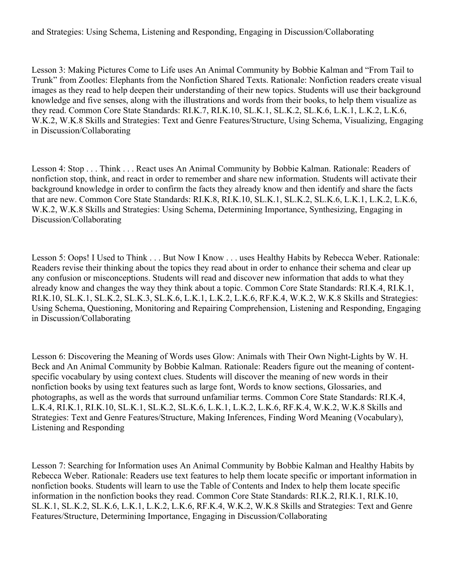and Strategies: Using Schema, Listening and Responding, Engaging in Discussion/Collaborating

Lesson 3: Making Pictures Come to Life uses An Animal Community by Bobbie Kalman and "From Tail to Trunk" from Zootles: Elephants from the Nonfiction Shared Texts. Rationale: Nonfiction readers create visual images as they read to help deepen their understanding of their new topics. Students will use their background knowledge and five senses, along with the illustrations and words from their books, to help them visualize as they read. Common Core State Standards: RI.K.7, RI.K.10, SL.K.1, SL.K.2, SL.K.6, L.K.1, L.K.2, L.K.6, W.K.2, W.K.8 Skills and Strategies: Text and Genre Features/Structure, Using Schema, Visualizing, Engaging in Discussion/Collaborating

Lesson 4: Stop . . . Think . . . React uses An Animal Community by Bobbie Kalman. Rationale: Readers of nonfiction stop, think, and react in order to remember and share new information. Students will activate their background knowledge in order to confirm the facts they already know and then identify and share the facts that are new. Common Core State Standards: RI.K.8, RI.K.10, SL.K.1, SL.K.2, SL.K.6, L.K.1, L.K.2, L.K.6, W.K.2, W.K.8 Skills and Strategies: Using Schema, Determining Importance, Synthesizing, Engaging in Discussion/Collaborating

Lesson 5: Oops! I Used to Think . . . But Now I Know . . . uses Healthy Habits by Rebecca Weber. Rationale: Readers revise their thinking about the topics they read about in order to enhance their schema and clear up any confusion or misconceptions. Students will read and discover new information that adds to what they already know and changes the way they think about a topic. Common Core State Standards: RI.K.4, RI.K.1, RI.K.10, SL.K.1, SL.K.2, SL.K.3, SL.K.6, L.K.1, L.K.2, L.K.6, RF.K.4, W.K.2, W.K.8 Skills and Strategies: Using Schema, Questioning, Monitoring and Repairing Comprehension, Listening and Responding, Engaging in Discussion/Collaborating

Lesson 6: Discovering the Meaning of Words uses Glow: Animals with Their Own Night-Lights by W. H. Beck and An Animal Community by Bobbie Kalman. Rationale: Readers figure out the meaning of contentspecific vocabulary by using context clues. Students will discover the meaning of new words in their nonfiction books by using text features such as large font, Words to know sections, Glossaries, and photographs, as well as the words that surround unfamiliar terms. Common Core State Standards: RI.K.4, L.K.4, RI.K.1, RI.K.10, SL.K.1, SL.K.2, SL.K.6, L.K.1, L.K.2, L.K.6, RF.K.4, W.K.2, W.K.8 Skills and Strategies: Text and Genre Features/Structure, Making Inferences, Finding Word Meaning (Vocabulary), Listening and Responding

Lesson 7: Searching for Information uses An Animal Community by Bobbie Kalman and Healthy Habits by Rebecca Weber. Rationale: Readers use text features to help them locate specific or important information in nonfiction books. Students will learn to use the Table of Contents and Index to help them locate specific information in the nonfiction books they read. Common Core State Standards: RI.K.2, RI.K.1, RI.K.10, SL.K.1, SL.K.2, SL.K.6, L.K.1, L.K.2, L.K.6, RF.K.4, W.K.2, W.K.8 Skills and Strategies: Text and Genre Features/Structure, Determining Importance, Engaging in Discussion/Collaborating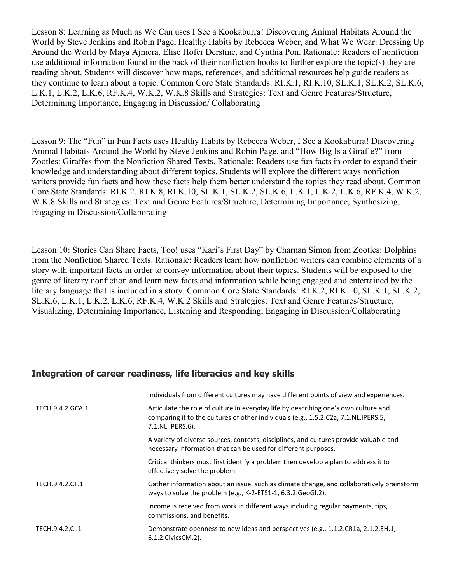Lesson 8: Learning as Much as We Can uses I See a Kookaburra! Discovering Animal Habitats Around the World by Steve Jenkins and Robin Page, Healthy Habits by Rebecca Weber, and What We Wear: Dressing Up Around the World by Maya Ajmera, Elise Hofer Derstine, and Cynthia Pon. Rationale: Readers of nonfiction use additional information found in the back of their nonfiction books to further explore the topic(s) they are reading about. Students will discover how maps, references, and additional resources help guide readers as they continue to learn about a topic. Common Core State Standards: RI.K.1, RI.K.10, SL.K.1, SL.K.2, SL.K.6, L.K.1, L.K.2, L.K.6, RF.K.4, W.K.2, W.K.8 Skills and Strategies: Text and Genre Features/Structure, Determining Importance, Engaging in Discussion/ Collaborating

Lesson 9: The "Fun" in Fun Facts uses Healthy Habits by Rebecca Weber, I See a Kookaburra! Discovering Animal Habitats Around the World by Steve Jenkins and Robin Page, and "How Big Is a Giraffe?" from Zootles: Giraffes from the Nonfiction Shared Texts. Rationale: Readers use fun facts in order to expand their knowledge and understanding about different topics. Students will explore the different ways nonfiction writers provide fun facts and how these facts help them better understand the topics they read about. Common Core State Standards: RI.K.2, RI.K.8, RI.K.10, SL.K.1, SL.K.2, SL.K.6, L.K.1, L.K.2, L.K.6, RF.K.4, W.K.2, W.K.8 Skills and Strategies: Text and Genre Features/Structure, Determining Importance, Synthesizing, Engaging in Discussion/Collaborating

Lesson 10: Stories Can Share Facts, Too! uses "Kari's First Day" by Charnan Simon from Zootles: Dolphins from the Nonfiction Shared Texts. Rationale: Readers learn how nonfiction writers can combine elements of a story with important facts in order to convey information about their topics. Students will be exposed to the genre of literary nonfiction and learn new facts and information while being engaged and entertained by the literary language that is included in a story. Common Core State Standards: RI.K.2, RI.K.10, SL.K.1, SL.K.2, SL.K.6, L.K.1, L.K.2, L.K.6, RF.K.4, W.K.2 Skills and Strategies: Text and Genre Features/Structure, Visualizing, Determining Importance, Listening and Responding, Engaging in Discussion/Collaborating

# **Integration of career readiness, life literacies and key skills**

|                  | Individuals from different cultures may have different points of view and experiences.                                                                                                         |
|------------------|------------------------------------------------------------------------------------------------------------------------------------------------------------------------------------------------|
| TECH.9.4.2.GCA.1 | Articulate the role of culture in everyday life by describing one's own culture and<br>comparing it to the cultures of other individuals (e.g., 1.5.2.C2a, 7.1.NL.IPERS.5,<br>7.1.NL.IPERS.6). |
|                  | A variety of diverse sources, contexts, disciplines, and cultures provide valuable and<br>necessary information that can be used for different purposes.                                       |
|                  | Critical thinkers must first identify a problem then develop a plan to address it to<br>effectively solve the problem.                                                                         |
| TECH.9.4.2.CT.1  | Gather information about an issue, such as climate change, and collaboratively brainstorm<br>ways to solve the problem (e.g., K-2-ETS1-1, 6.3.2. GeoGI.2).                                     |
|                  | Income is received from work in different ways including regular payments, tips,<br>commissions, and benefits.                                                                                 |
| TECH.9.4.2.Cl.1  | Demonstrate openness to new ideas and perspectives (e.g., 1.1.2.CR1a, 2.1.2.EH.1,<br>6.1.2. Civics CM. 2).                                                                                     |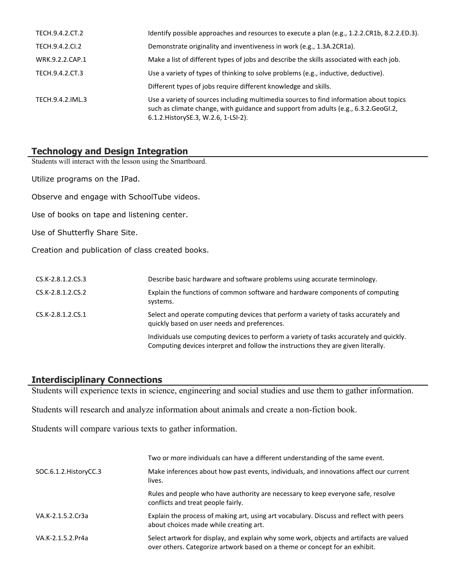| TECH.9.4.2.CT.2  | Identify possible approaches and resources to execute a plan (e.g., 1.2.2.CR1b, 8.2.2.ED.3).                                                                                                                            |
|------------------|-------------------------------------------------------------------------------------------------------------------------------------------------------------------------------------------------------------------------|
| TECH.9.4.2.CI.2  | Demonstrate originality and inventiveness in work (e.g., 1.3A.2CR1a).                                                                                                                                                   |
| WRK.9.2.2.CAP.1  | Make a list of different types of jobs and describe the skills associated with each job.                                                                                                                                |
| TECH.9.4.2.CT.3  | Use a variety of types of thinking to solve problems (e.g., inductive, deductive).                                                                                                                                      |
|                  | Different types of jobs require different knowledge and skills.                                                                                                                                                         |
| TECH.9.4.2.IML.3 | Use a variety of sources including multimedia sources to find information about topics<br>such as climate change, with guidance and support from adults (e.g., 6.3.2. GeoGI.2,<br>6.1.2. History SE.3, W.2.6, 1-LSI-2). |

## **Technology and Design Integration**

Students will interact with the lesson using the Smartboard.

Utilize programs on the IPad.

Observe and engage with SchoolTube videos.

Use of books on tape and listening center.

Use of Shutterfly Share Site.

Creation and publication of class created books.

| CS.K-2.8.1.2.CS.3 | Describe basic hardware and software problems using accurate terminology.                                                                                                    |
|-------------------|------------------------------------------------------------------------------------------------------------------------------------------------------------------------------|
| CS.K-2.8.1.2.CS.2 | Explain the functions of common software and hardware components of computing<br>systems.                                                                                    |
| CS.K-2.8.1.2.CS.1 | Select and operate computing devices that perform a variety of tasks accurately and<br>quickly based on user needs and preferences.                                          |
|                   | Individuals use computing devices to perform a variety of tasks accurately and quickly.<br>Computing devices interpret and follow the instructions they are given literally. |

#### **Interdisciplinary Connections**

Students will experience texts in science, engineering and social studies and use them to gather information.

Students will research and analyze information about animals and create a non-fiction book.

Students will compare various texts to gather information.

|                        | Two or more individuals can have a different understanding of the same event.                                                                                          |
|------------------------|------------------------------------------------------------------------------------------------------------------------------------------------------------------------|
| SOC.6.1.2. HistoryCC.3 | Make inferences about how past events, individuals, and innovations affect our current<br>lives.                                                                       |
|                        | Rules and people who have authority are necessary to keep everyone safe, resolve<br>conflicts and treat people fairly.                                                 |
| VA.K-2.1.5.2.Cr3a      | Explain the process of making art, using art vocabulary. Discuss and reflect with peers<br>about choices made while creating art.                                      |
| VA.K-2.1.5.2.Pr4a      | Select artwork for display, and explain why some work, objects and artifacts are valued<br>over others. Categorize artwork based on a theme or concept for an exhibit. |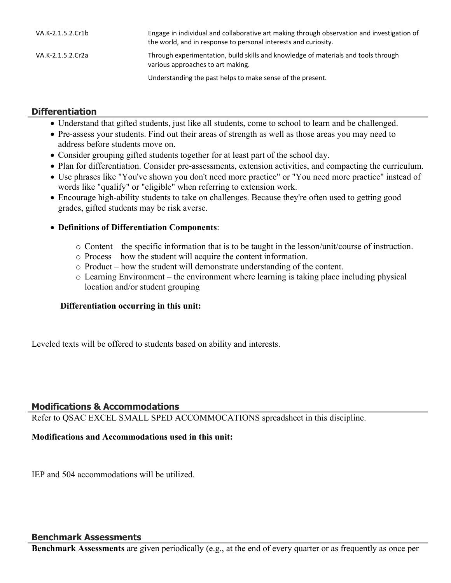| VA.K-2.1.5.2.Cr1b | Engage in individual and collaborative art making through observation and investigation of<br>the world, and in response to personal interests and curiosity. |
|-------------------|---------------------------------------------------------------------------------------------------------------------------------------------------------------|
| VA.K-2.1.5.2.Cr2a | Through experimentation, build skills and knowledge of materials and tools through<br>various approaches to art making.                                       |
|                   | Understanding the past helps to make sense of the present.                                                                                                    |

## **Differentiation**

- Understand that gifted students, just like all students, come to school to learn and be challenged.
- Pre-assess your students. Find out their areas of strength as well as those areas you may need to address before students move on.
- Consider grouping gifted students together for at least part of the school day.
- Plan for differentiation. Consider pre-assessments, extension activities, and compacting the curriculum.
- Use phrases like "You've shown you don't need more practice" or "You need more practice" instead of words like "qualify" or "eligible" when referring to extension work.
- Encourage high-ability students to take on challenges. Because they're often used to getting good grades, gifted students may be risk averse.

## **Definitions of Differentiation Components**:

- o Content the specific information that is to be taught in the lesson/unit/course of instruction.
- o Process how the student will acquire the content information.
- o Product how the student will demonstrate understanding of the content.
- o Learning Environment the environment where learning is taking place including physical location and/or student grouping

#### **Differentiation occurring in this unit:**

Leveled texts will be offered to students based on ability and interests.

## **Modifications & Accommodations**

Refer to QSAC EXCEL SMALL SPED ACCOMMOCATIONS spreadsheet in this discipline.

#### **Modifications and Accommodations used in this unit:**

IEP and 504 accommodations will be utilized.

#### **Benchmark Assessments**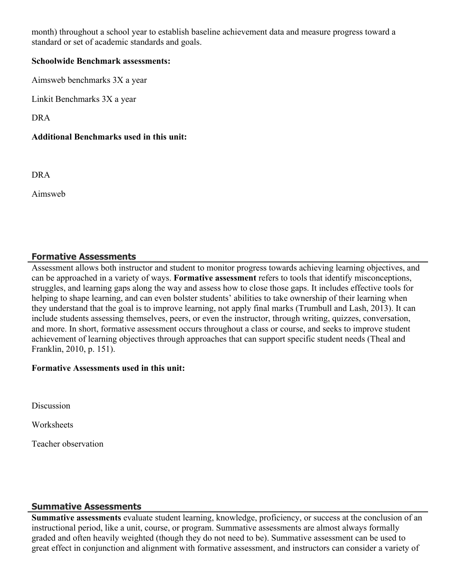month) throughout a school year to establish baseline achievement data and measure progress toward a standard or set of academic standards and goals.

#### **Schoolwide Benchmark assessments:**

Aimsweb benchmarks 3X a year

Linkit Benchmarks 3X a year

DRA

## **Additional Benchmarks used in this unit:**

DRA

Aimsweb

# **Formative Assessments**

Assessment allows both instructor and student to monitor progress towards achieving learning objectives, and can be approached in a variety of ways. **Formative assessment** refers to tools that identify misconceptions, struggles, and learning gaps along the way and assess how to close those gaps. It includes effective tools for helping to shape learning, and can even bolster students' abilities to take ownership of their learning when they understand that the goal is to improve learning, not apply final marks (Trumbull and Lash, 2013). It can include students assessing themselves, peers, or even the instructor, through writing, quizzes, conversation, and more. In short, formative assessment occurs throughout a class or course, and seeks to improve student achievement of learning objectives through approaches that can support specific student needs (Theal and Franklin, 2010, p. 151).

#### **Formative Assessments used in this unit:**

**Discussion** 

**Worksheets** 

Teacher observation

## **Summative Assessments**

**Summative assessments** evaluate student learning, knowledge, proficiency, or success at the conclusion of an instructional period, like a unit, course, or program. Summative assessments are almost always formally graded and often heavily weighted (though they do not need to be). Summative assessment can be used to great effect in conjunction and alignment with formative assessment, and instructors can consider a variety of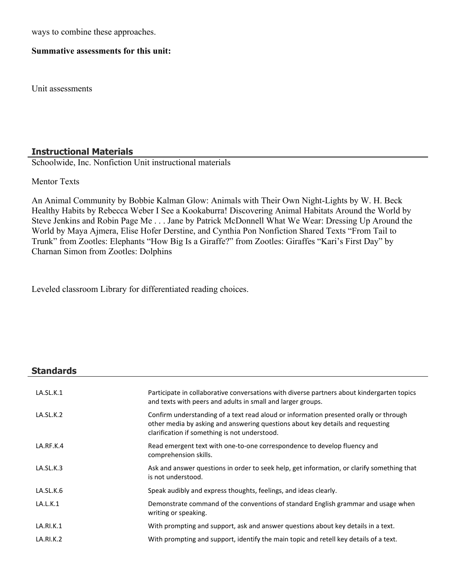ways to combine these approaches.

#### **Summative assessments for this unit:**

Unit assessments

#### **Instructional Materials**

Schoolwide, Inc. Nonfiction Unit instructional materials

Mentor Texts

An Animal Community by Bobbie Kalman Glow: Animals with Their Own Night-Lights by W. H. Beck Healthy Habits by Rebecca Weber I See a Kookaburra! Discovering Animal Habitats Around the World by Steve Jenkins and Robin Page Me . . . Jane by Patrick McDonnell What We Wear: Dressing Up Around the World by Maya Ajmera, Elise Hofer Derstine, and Cynthia Pon Nonfiction Shared Texts "From Tail to Trunk" from Zootles: Elephants "How Big Is a Giraffe?" from Zootles: Giraffes "Kari's First Day" by Charnan Simon from Zootles: Dolphins

Leveled classroom Library for differentiated reading choices.

#### **Standards**

| LA.SL.K.1 | Participate in collaborative conversations with diverse partners about kindergarten topics<br>and texts with peers and adults in small and larger groups.                                                                |
|-----------|--------------------------------------------------------------------------------------------------------------------------------------------------------------------------------------------------------------------------|
| LA.SL.K.2 | Confirm understanding of a text read aloud or information presented orally or through<br>other media by asking and answering questions about key details and requesting<br>clarification if something is not understood. |
| LA.RF.K.4 | Read emergent text with one-to-one correspondence to develop fluency and<br>comprehension skills.                                                                                                                        |
| LA.SL.K.3 | Ask and answer questions in order to seek help, get information, or clarify something that<br>is not understood.                                                                                                         |
| LA.SL.K.6 | Speak audibly and express thoughts, feelings, and ideas clearly.                                                                                                                                                         |
| LA.L.K.1  | Demonstrate command of the conventions of standard English grammar and usage when<br>writing or speaking.                                                                                                                |
| LA.RI.K.1 | With prompting and support, ask and answer questions about key details in a text.                                                                                                                                        |
| LA.RI.K.2 | With prompting and support, identify the main topic and retell key details of a text.                                                                                                                                    |